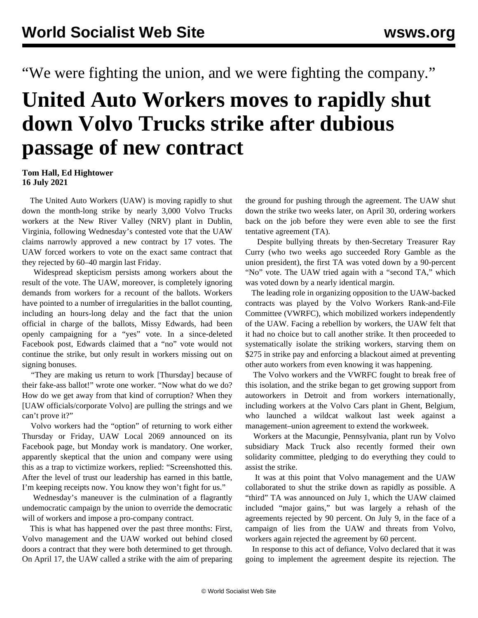"We were fighting the union, and we were fighting the company."

## **United Auto Workers moves to rapidly shut down Volvo Trucks strike after dubious passage of new contract**

## **Tom Hall, Ed Hightower 16 July 2021**

 The United Auto Workers (UAW) is moving rapidly to shut down the month-long strike by nearly 3,000 Volvo Trucks workers at the New River Valley (NRV) plant in Dublin, Virginia, following Wednesday's contested vote that the UAW claims narrowly approved a new contract by 17 votes. The UAW forced workers to vote on the exact same contract that they rejected by 60–40 margin last Friday.

 Widespread skepticism persists among workers about the result of the vote. The UAW, moreover, is completely ignoring demands from workers for a recount of the ballots. Workers have pointed to a number of irregularities in the ballot counting, including an hours-long delay and the fact that the union official in charge of the ballots, Missy Edwards, had been openly campaigning for a "yes" vote. In a since-deleted Facebook post, Edwards claimed that a "no" vote would not continue the strike, but only result in workers missing out on signing bonuses.

 "They are making us return to work [Thursday] because of their fake-ass ballot!" wrote one worker. "Now what do we do? How do we get away from that kind of corruption? When they [UAW officials/corporate Volvo] are pulling the strings and we can't prove it?"

 Volvo workers had the "option" of returning to work either Thursday or Friday, UAW Local 2069 announced on its Facebook page, but Monday work is mandatory. One worker, apparently skeptical that the union and company were using this as a trap to victimize workers, replied: "Screenshotted this. After the level of trust our leadership has earned in this battle, I'm keeping receipts now. You know they won't fight for us."

 Wednesday's maneuver is the culmination of a flagrantly undemocratic campaign by the union to override the democratic will of workers and impose a pro-company contract.

 This is what has happened over the past three months: First, Volvo management and the UAW worked out behind closed doors a contract that they were both determined to get through. On April 17, the UAW called a strike with the aim of preparing the ground for pushing through the agreement. The UAW shut down the strike two weeks later, on April 30, ordering workers back on the job before they were even able to see the first tentative agreement (TA).

 Despite bullying threats by then-Secretary Treasurer Ray Curry (who two weeks ago succeeded Rory Gamble as the union president), the first TA was voted down by a 90-percent "No" vote. The UAW tried again with a "second TA," which was voted down by a nearly identical margin.

 The leading role in organizing opposition to the UAW-backed contracts was played by the Volvo Workers Rank-and-File Committee (VWRFC), which mobilized workers independently of the UAW. Facing a rebellion by workers, the UAW felt that it had no choice but to call another strike. It then proceeded to systematically isolate the striking workers, starving them on \$275 in strike pay and enforcing a blackout aimed at preventing other auto workers from even knowing it was happening.

 The Volvo workers and the VWRFC fought to break free of this isolation, and the strike began to get growing support from autoworkers in Detroit and from workers internationally, including workers at the Volvo Cars plant in Ghent, Belgium, who launched a wildcat walkout last week against a management–union agreement to extend the workweek.

 Workers at the Macungie, Pennsylvania, plant run by Volvo subsidiary Mack Truck also recently formed their own solidarity committee, pledging to do everything they could to assist the strike.

 It was at this point that Volvo management and the UAW collaborated to shut the strike down as rapidly as possible. A "third" TA was announced on July 1, which the UAW claimed included "major gains," but was largely a rehash of the agreements rejected by 90 percent. On July 9, in the face of a campaign of lies from the UAW and threats from Volvo, workers again rejected the agreement by 60 percent.

 In response to this act of defiance, Volvo declared that it was going to implement the agreement despite its rejection. The